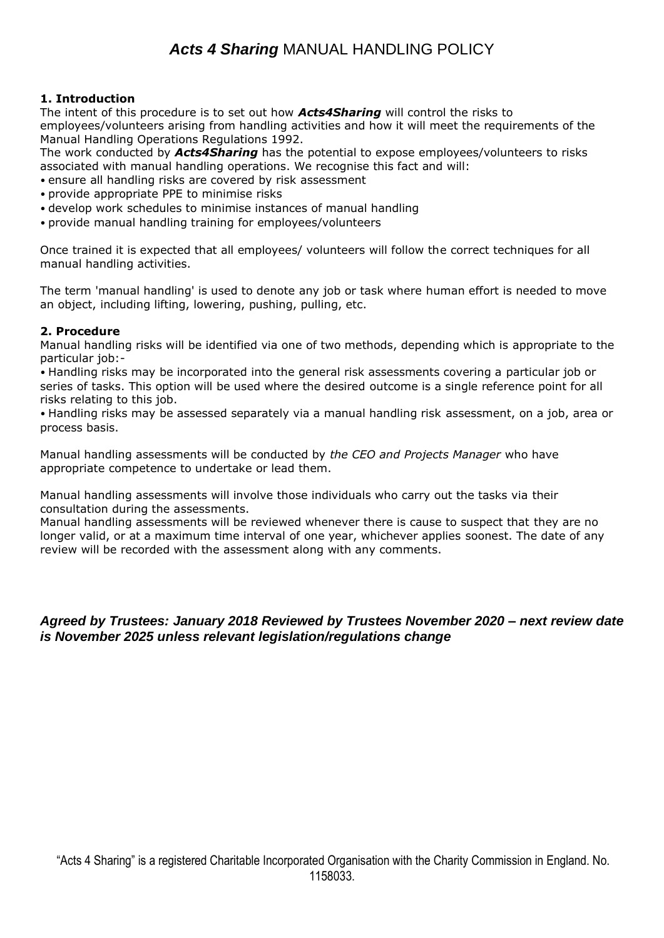# *Acts 4 Sharing* MANUAL HANDLING POLICY

### **1. Introduction**

The intent of this procedure is to set out how *Acts4Sharing* will control the risks to employees/volunteers arising from handling activities and how it will meet the requirements of the Manual Handling Operations Regulations 1992.

The work conducted by *Acts4Sharing* has the potential to expose employees/volunteers to risks associated with manual handling operations. We recognise this fact and will:

- ensure all handling risks are covered by risk assessment
- provide appropriate PPE to minimise risks
- develop work schedules to minimise instances of manual handling
- provide manual handling training for employees/volunteers

Once trained it is expected that all employees/ volunteers will follow the correct techniques for all manual handling activities.

The term 'manual handling' is used to denote any job or task where human effort is needed to move an object, including lifting, lowering, pushing, pulling, etc.

#### **2. Procedure**

Manual handling risks will be identified via one of two methods, depending which is appropriate to the particular job:-

• Handling risks may be incorporated into the general risk assessments covering a particular job or series of tasks. This option will be used where the desired outcome is a single reference point for all risks relating to this job.

• Handling risks may be assessed separately via a manual handling risk assessment, on a job, area or process basis.

Manual handling assessments will be conducted by *the CEO and Projects Manager* who have appropriate competence to undertake or lead them.

Manual handling assessments will involve those individuals who carry out the tasks via their consultation during the assessments.

Manual handling assessments will be reviewed whenever there is cause to suspect that they are no longer valid, or at a maximum time interval of one year, whichever applies soonest. The date of any review will be recorded with the assessment along with any comments.

## *Agreed by Trustees: January 2018 Reviewed by Trustees November 2020 – next review date is November 2025 unless relevant legislation/regulations change*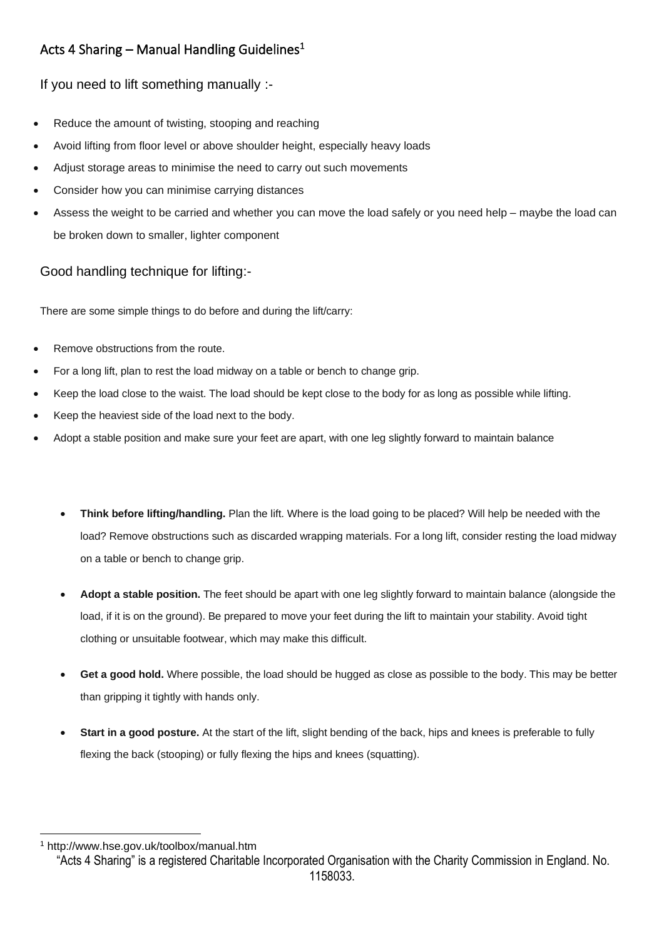# Acts 4 Sharing – Manual Handling Guidelines<sup>1</sup>

If you need to lift something manually :-

- Reduce the amount of twisting, stooping and reaching
- Avoid lifting from floor level or above shoulder height, especially heavy loads
- Adjust storage areas to minimise the need to carry out such movements
- Consider how you can minimise carrying distances
- Assess the weight to be carried and whether you can move the load safely or you need help maybe the load can be broken down to smaller, lighter component

Good handling technique for lifting:-

There are some simple things to do before and during the lift/carry:

- Remove obstructions from the route.
- For a long lift, plan to rest the load midway on a table or bench to change grip.
- Keep the load close to the waist. The load should be kept close to the body for as long as possible while lifting.
- Keep the heaviest side of the load next to the body.
- Adopt a stable position and make sure your feet are apart, with one leg slightly forward to maintain balance
	- **Think before lifting/handling.** Plan the lift. Where is the load going to be placed? Will help be needed with the load? Remove obstructions such as discarded wrapping materials. For a long lift, consider resting the load midway on a table or bench to change grip.
	- **Adopt a stable position.** The feet should be apart with one leg slightly forward to maintain balance (alongside the load, if it is on the ground). Be prepared to move your feet during the lift to maintain your stability. Avoid tight clothing or unsuitable footwear, which may make this difficult.
	- **Get a good hold.** Where possible, the load should be hugged as close as possible to the body. This may be better than gripping it tightly with hands only.
	- **Start in a good posture.** At the start of the lift, slight bending of the back, hips and knees is preferable to fully flexing the back (stooping) or fully flexing the hips and knees (squatting).

<sup>1</sup> http://www.hse.gov.uk/toolbox/manual.htm

<sup>&</sup>quot;Acts 4 Sharing" is a registered Charitable Incorporated Organisation with the Charity Commission in England. No. 1158033.